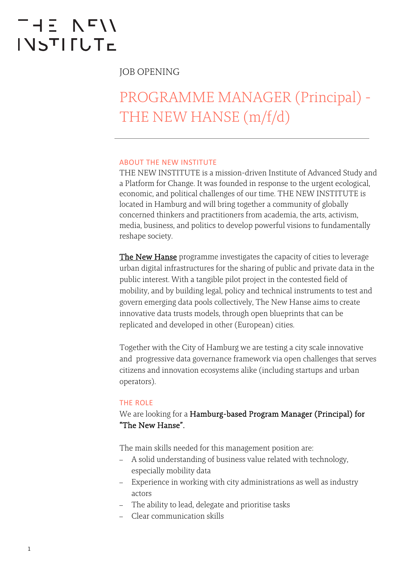# THE NFII **INSTIFUTE**

JOB OPENING

## PROGRAMME MANAGER (Principal) - THE NEW HANSE (m/f/d)

#### ABOUT THE NEW INSTITUTE

THE NEW INSTITUTE is a mission-driven Institute of Advanced Study and a Platform for Change. It was founded in response to the urgent ecological, economic, and political challenges of our time. THE NEW INSTITUTE is located in Hamburg and will bring together a community of globally concerned thinkers and practitioners from academia, the arts, activism, media, business, and politics to develop powerful visions to fundamentally reshape society.

[The New Hanse](https://thenew.institute/en/programmes/the-new-hanse) programme investigates the capacity of cities to leverage urban digital infrastructures for the sharing of public and private data in the public interest. With a tangible pilot project in the contested field of mobility, and by building legal, policy and technical instruments to test and govern emerging data pools collectively, The New Hanse aims to create innovative data trusts models, through open blueprints that can be replicated and developed in other (European) cities.

Together with the City of Hamburg we are testing a city scale innovative and progressive data governance framework via open challenges that serves citizens and innovation ecosystems alike (including startups and urban operators).

#### THE ROLE

## We are looking for a Hamburg-based Program Manager (Principal) for "The New Hanse".

The main skills needed for this management position are:

- A solid understanding of business value related with technology, especially mobility data
- Experience in working with city administrations as well as industry actors
- The ability to lead, delegate and prioritise tasks
- Clear communication skills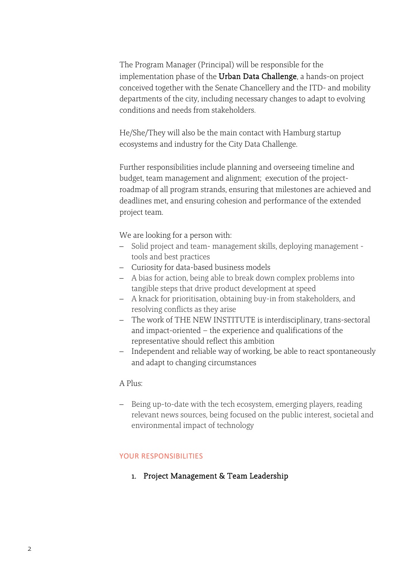The Program Manager (Principal) will be responsible for the implementation phase of the Urban Data Challenge, a hands-on project conceived together with the Senate Chancellery and the ITD- and mobility departments of the city, including necessary changes to adapt to evolving conditions and needs from stakeholders.

He/She/They will also be the main contact with Hamburg startup ecosystems and industry for the City Data Challenge.

Further responsibilities include planning and overseeing timeline and budget, team management and alignment; execution of the projectroadmap of all program strands, ensuring that milestones are achieved and deadlines met, and ensuring cohesion and performance of the extended project team.

We are looking for a person with:

- Solid project and team- management skills, deploying management tools and best practices
- Curiosity for data-based business models
- A bias for action, being able to break down complex problems into tangible steps that drive product development at speed
- A knack for prioritisation, obtaining buy-in from stakeholders, and resolving conflicts as they arise
- The work of THE NEW INSTITUTE is interdisciplinary, trans-sectoral and impact-oriented – the experience and qualifications of the representative should reflect this ambition
- Independent and reliable way of working, be able to react spontaneously and adapt to changing circumstances

#### A Plus:

- Being up-to-date with the tech ecosystem, emerging players, reading relevant news sources, being focused on the public interest, societal and environmental impact of technology

#### YOUR RESPONSIBILITIES

1. Project Management & Team Leadership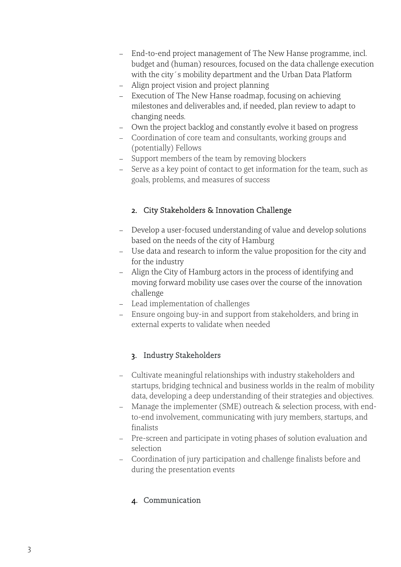- End-to-end project management of The New Hanse programme, incl. budget and (human) resources, focused on the data challenge execution with the city´s mobility department and the Urban Data Platform
- Align project vision and project planning
- Execution of The New Hanse roadmap, focusing on achieving milestones and deliverables and, if needed, plan review to adapt to changing needs.
- Own the project backlog and constantly evolve it based on progress
- Coordination of core team and consultants, working groups and (potentially) Fellows
- Support members of the team by removing blockers
- Serve as a key point of contact to get information for the team, such as goals, problems, and measures of success

## 2. City Stakeholders & Innovation Challenge

- Develop a user-focused understanding of value and develop solutions based on the needs of the city of Hamburg
- Use data and research to inform the value proposition for the city and for the industry
- Align the City of Hamburg actors in the process of identifying and moving forward mobility use cases over the course of the innovation challenge
- Lead implementation of challenges
- Ensure ongoing buy-in and support from stakeholders, and bring in external experts to validate when needed

## 3. Industry Stakeholders

- Cultivate meaningful relationships with industry stakeholders and startups, bridging technical and business worlds in the realm of mobility data, developing a deep understanding of their strategies and objectives.
- Manage the implementer (SME) outreach & selection process, with endto-end involvement, communicating with jury members, startups, and finalists
- Pre-screen and participate in voting phases of solution evaluation and selection
- Coordination of jury participation and challenge finalists before and during the presentation events

## 4. Communication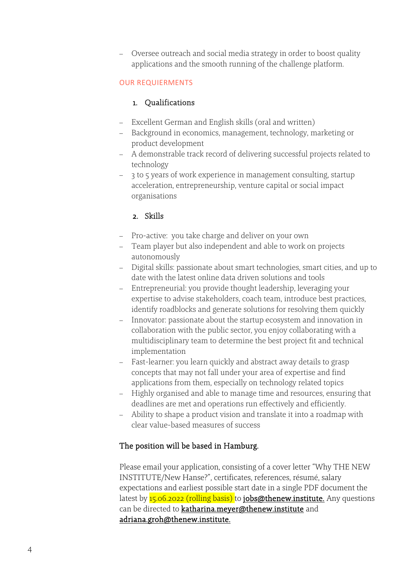- Oversee outreach and social media strategy in order to boost quality applications and the smooth running of the challenge platform.

## OUR REQUIERMENTS

#### 1. Qualifications

- Excellent German and English skills (oral and written)
- Background in economics, management, technology, marketing or product development
- A demonstrable track record of delivering successful projects related to technology
- 3 to 5 years of work experience in management consulting, startup acceleration, entrepreneurship, venture capital or social impact organisations

## 2. Skills

- Pro-active: you take charge and deliver on your own
- Team player but also independent and able to work on projects autonomously
- Digital skills: passionate about smart technologies, smart cities, and up to date with the latest online data driven solutions and tools
- Entrepreneurial: you provide thought leadership, leveraging your expertise to advise stakeholders, coach team, introduce best practices, identify roadblocks and generate solutions for resolving them quickly
- Innovator: passionate about the startup ecosystem and innovation in collaboration with the public sector, you enjoy collaborating with a multidisciplinary team to determine the best project fit and technical implementation
- Fast-learner: you learn quickly and abstract away details to grasp concepts that may not fall under your area of expertise and find applications from them, especially on technology related topics
- Highly organised and able to manage time and resources, ensuring that deadlines are met and operations run effectively and efficiently.
- Ability to shape a product vision and translate it into a roadmap with clear value-based measures of success

## The position will be based in Hamburg.

Please email your application, consisting of a cover letter "Why THE NEW INSTITUTE/New Hanse?", certificates, references, résumé, salary expectations and earliest possible start date in a single PDF document the latest by  $15.06.2022$  (rolling basis) t[o jobs@thenew.institute.](mailto: jobs@thenew.institute) Any questions can be directed to [katharina.meyer@thenew.institute an](mailto: katharina.meyer@thenew.institute)d [adriana.groh@thenew.institute.](mailto: adriana.groh@thenew.institute)